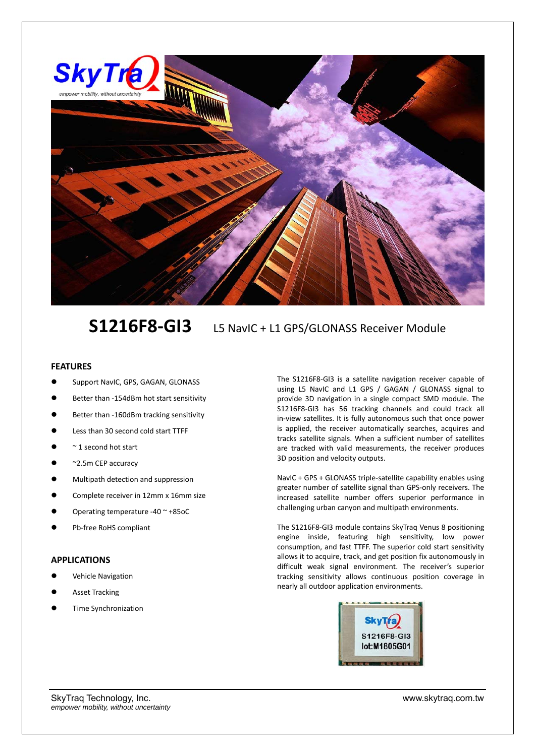

## **S1216F8‐GI3** L5 NavIC + L1 GPS/GLONASS Receiver Module

## **FEATURES**

- Support NavIC, GPS, GAGAN, GLONASS
- Better than ‐154dBm hot start sensitivity
- Better than ‐160dBm tracking sensitivity
- Less than 30 second cold start TTFF
- $~\sim$  1 second hot start
- ~2.5m CEP accuracy
- Multipath detection and suppression
- Complete receiver in 12mm x 16mm size
- Operating temperature ‐40 ~ +85oC
- Pb‐free RoHS compliant

## **APPLICATIONS**

- Vehicle Navigation
- Asset Tracking
- Time Synchronization

The S1216F8‐GI3 is a satellite navigation receiver capable of using L5 NavIC and L1 GPS / GAGAN / GLONASS signal to provide 3D navigation in a single compact SMD module. The S1216F8‐GI3 has 56 tracking channels and could track all in-view satellites. It is fully autonomous such that once power is applied, the receiver automatically searches, acquires and tracks satellite signals. When a sufficient number of satellites are tracked with valid measurements, the receiver produces 3D position and velocity outputs.

NavIC + GPS + GLONASS triple‐satellite capability enables using greater number of satellite signal than GPS‐only receivers. The increased satellite number offers superior performance in challenging urban canyon and multipath environments.

The S1216F8‐GI3 module contains SkyTraq Venus 8 positioning engine inside, featuring high sensitivity, low power consumption, and fast TTFF. The superior cold start sensitivity allows it to acquire, track, and get position fix autonomously in difficult weak signal environment. The receiver's superior tracking sensitivity allows continuous position coverage in nearly all outdoor application environments.